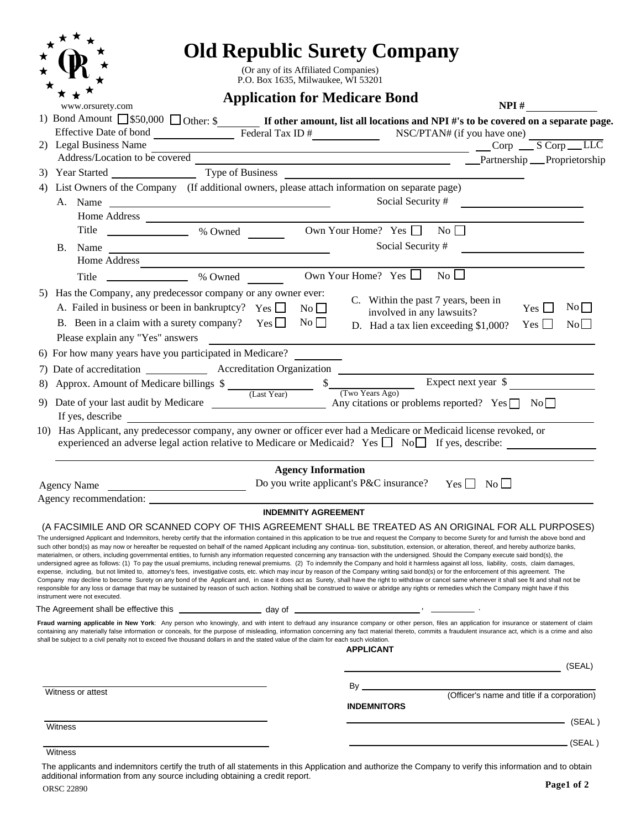|                   |                                                                                                                                                                                                                                                                                                                                                                                                                                                                                                                                                                                                                                                                                                                                                                                                                                                                                                                                                                                                                                                                                                                                                                                                                                                                                                                                                                                                                                                                                                                                                            |                                      |                            | <b>Old Republic Surety Company</b>                                           |                                  |          |
|-------------------|------------------------------------------------------------------------------------------------------------------------------------------------------------------------------------------------------------------------------------------------------------------------------------------------------------------------------------------------------------------------------------------------------------------------------------------------------------------------------------------------------------------------------------------------------------------------------------------------------------------------------------------------------------------------------------------------------------------------------------------------------------------------------------------------------------------------------------------------------------------------------------------------------------------------------------------------------------------------------------------------------------------------------------------------------------------------------------------------------------------------------------------------------------------------------------------------------------------------------------------------------------------------------------------------------------------------------------------------------------------------------------------------------------------------------------------------------------------------------------------------------------------------------------------------------------|--------------------------------------|----------------------------|------------------------------------------------------------------------------|----------------------------------|----------|
|                   |                                                                                                                                                                                                                                                                                                                                                                                                                                                                                                                                                                                                                                                                                                                                                                                                                                                                                                                                                                                                                                                                                                                                                                                                                                                                                                                                                                                                                                                                                                                                                            | (Or any of its Affiliated Companies) |                            |                                                                              |                                  |          |
|                   |                                                                                                                                                                                                                                                                                                                                                                                                                                                                                                                                                                                                                                                                                                                                                                                                                                                                                                                                                                                                                                                                                                                                                                                                                                                                                                                                                                                                                                                                                                                                                            | P.O. Box 1635, Milwaukee, WI 53201   |                            |                                                                              |                                  |          |
|                   | www.orsurety.com                                                                                                                                                                                                                                                                                                                                                                                                                                                                                                                                                                                                                                                                                                                                                                                                                                                                                                                                                                                                                                                                                                                                                                                                                                                                                                                                                                                                                                                                                                                                           | <b>Application for Medicare Bond</b> |                            |                                                                              |                                  | $NPI \#$ |
|                   |                                                                                                                                                                                                                                                                                                                                                                                                                                                                                                                                                                                                                                                                                                                                                                                                                                                                                                                                                                                                                                                                                                                                                                                                                                                                                                                                                                                                                                                                                                                                                            |                                      |                            |                                                                              |                                  |          |
|                   | Effective Date of bond<br>Legal Business Name<br>Legal Business Name<br>Legal Business Name<br>Legal Business Name<br>Legal Business Name<br>Legal Business Name<br>Legal Business Name<br>Legal Business Name<br>Legal Business Name<br>Legal Bus                                                                                                                                                                                                                                                                                                                                                                                                                                                                                                                                                                                                                                                                                                                                                                                                                                                                                                                                                                                                                                                                                                                                                                                                                                                                                                         |                                      |                            |                                                                              |                                  |          |
|                   | 2) Legal Business Name                                                                                                                                                                                                                                                                                                                                                                                                                                                                                                                                                                                                                                                                                                                                                                                                                                                                                                                                                                                                                                                                                                                                                                                                                                                                                                                                                                                                                                                                                                                                     |                                      |                            |                                                                              |                                  |          |
|                   |                                                                                                                                                                                                                                                                                                                                                                                                                                                                                                                                                                                                                                                                                                                                                                                                                                                                                                                                                                                                                                                                                                                                                                                                                                                                                                                                                                                                                                                                                                                                                            |                                      |                            |                                                                              |                                  |          |
|                   | 3) Year Started Type of Business<br>4) List Owners of the Company (If additional owners, please attach information on separate page)                                                                                                                                                                                                                                                                                                                                                                                                                                                                                                                                                                                                                                                                                                                                                                                                                                                                                                                                                                                                                                                                                                                                                                                                                                                                                                                                                                                                                       |                                      |                            |                                                                              |                                  |          |
|                   |                                                                                                                                                                                                                                                                                                                                                                                                                                                                                                                                                                                                                                                                                                                                                                                                                                                                                                                                                                                                                                                                                                                                                                                                                                                                                                                                                                                                                                                                                                                                                            |                                      |                            |                                                                              |                                  |          |
|                   |                                                                                                                                                                                                                                                                                                                                                                                                                                                                                                                                                                                                                                                                                                                                                                                                                                                                                                                                                                                                                                                                                                                                                                                                                                                                                                                                                                                                                                                                                                                                                            |                                      |                            | Social Security #                                                            |                                  |          |
|                   |                                                                                                                                                                                                                                                                                                                                                                                                                                                                                                                                                                                                                                                                                                                                                                                                                                                                                                                                                                                                                                                                                                                                                                                                                                                                                                                                                                                                                                                                                                                                                            |                                      |                            |                                                                              |                                  |          |
|                   | Title <u>______________</u> % Owned _________ Own Your Home? Yes □ No □                                                                                                                                                                                                                                                                                                                                                                                                                                                                                                                                                                                                                                                                                                                                                                                                                                                                                                                                                                                                                                                                                                                                                                                                                                                                                                                                                                                                                                                                                    |                                      |                            |                                                                              |                                  |          |
|                   | B. Name                                                                                                                                                                                                                                                                                                                                                                                                                                                                                                                                                                                                                                                                                                                                                                                                                                                                                                                                                                                                                                                                                                                                                                                                                                                                                                                                                                                                                                                                                                                                                    |                                      |                            | Social Security #                                                            |                                  |          |
|                   | Home Address                                                                                                                                                                                                                                                                                                                                                                                                                                                                                                                                                                                                                                                                                                                                                                                                                                                                                                                                                                                                                                                                                                                                                                                                                                                                                                                                                                                                                                                                                                                                               |                                      |                            |                                                                              |                                  |          |
|                   | Title _________________ % Owned Own Your Home? Yes $\Box$ No $\Box$                                                                                                                                                                                                                                                                                                                                                                                                                                                                                                                                                                                                                                                                                                                                                                                                                                                                                                                                                                                                                                                                                                                                                                                                                                                                                                                                                                                                                                                                                        |                                      |                            |                                                                              |                                  |          |
|                   | 5) Has the Company, any predecessor company or any owner ever:                                                                                                                                                                                                                                                                                                                                                                                                                                                                                                                                                                                                                                                                                                                                                                                                                                                                                                                                                                                                                                                                                                                                                                                                                                                                                                                                                                                                                                                                                             |                                      |                            |                                                                              |                                  |          |
|                   | A. Failed in business or been in bankruptcy? $Y_{\text{es}} \Box$ No $\Box$                                                                                                                                                                                                                                                                                                                                                                                                                                                                                                                                                                                                                                                                                                                                                                                                                                                                                                                                                                                                                                                                                                                                                                                                                                                                                                                                                                                                                                                                                |                                      |                            | C. Within the past 7 years, been in<br>involved in any lawsuits?             | Yes $\Box$                       | No       |
|                   | B. Been in a claim with a surety company? Yes $\Box$                                                                                                                                                                                                                                                                                                                                                                                                                                                                                                                                                                                                                                                                                                                                                                                                                                                                                                                                                                                                                                                                                                                                                                                                                                                                                                                                                                                                                                                                                                       |                                      | No                         | D. Had a tax lien exceeding \$1,000?                                         | Yes $\Box$                       | No       |
|                   | Please explain any "Yes" answers                                                                                                                                                                                                                                                                                                                                                                                                                                                                                                                                                                                                                                                                                                                                                                                                                                                                                                                                                                                                                                                                                                                                                                                                                                                                                                                                                                                                                                                                                                                           |                                      |                            |                                                                              |                                  |          |
|                   | 6) For how many years have you participated in Medicare?                                                                                                                                                                                                                                                                                                                                                                                                                                                                                                                                                                                                                                                                                                                                                                                                                                                                                                                                                                                                                                                                                                                                                                                                                                                                                                                                                                                                                                                                                                   |                                      |                            |                                                                              |                                  |          |
|                   |                                                                                                                                                                                                                                                                                                                                                                                                                                                                                                                                                                                                                                                                                                                                                                                                                                                                                                                                                                                                                                                                                                                                                                                                                                                                                                                                                                                                                                                                                                                                                            |                                      |                            |                                                                              |                                  |          |
|                   |                                                                                                                                                                                                                                                                                                                                                                                                                                                                                                                                                                                                                                                                                                                                                                                                                                                                                                                                                                                                                                                                                                                                                                                                                                                                                                                                                                                                                                                                                                                                                            |                                      |                            |                                                                              |                                  |          |
|                   |                                                                                                                                                                                                                                                                                                                                                                                                                                                                                                                                                                                                                                                                                                                                                                                                                                                                                                                                                                                                                                                                                                                                                                                                                                                                                                                                                                                                                                                                                                                                                            |                                      |                            |                                                                              |                                  |          |
|                   | 8) Approx. Amount of Medicare billings $\frac{1}{2}$ $\frac{1}{2}$ $\frac{1}{2}$ $\frac{1}{2}$ Expect next year $\frac{1}{2}$ $\frac{1}{2}$ Expect next year $\frac{1}{2}$ $\frac{1}{2}$ Date of your last audit by Medicare $\frac{1}{2}$ (Last Year) Any citati<br>If yes, describe $\qquad \qquad$                                                                                                                                                                                                                                                                                                                                                                                                                                                                                                                                                                                                                                                                                                                                                                                                                                                                                                                                                                                                                                                                                                                                                                                                                                                      |                                      |                            |                                                                              |                                  |          |
|                   | 10) Has Applicant, any predecessor company, any owner or officer ever had a Medicare or Medicaid license revoked, or<br>experienced an adverse legal action relative to Medicare or Medicaid? Yes $\Box$ No $\Box$ If yes, describe:                                                                                                                                                                                                                                                                                                                                                                                                                                                                                                                                                                                                                                                                                                                                                                                                                                                                                                                                                                                                                                                                                                                                                                                                                                                                                                                       |                                      |                            |                                                                              |                                  |          |
|                   |                                                                                                                                                                                                                                                                                                                                                                                                                                                                                                                                                                                                                                                                                                                                                                                                                                                                                                                                                                                                                                                                                                                                                                                                                                                                                                                                                                                                                                                                                                                                                            |                                      | <b>Agency Information</b>  |                                                                              |                                  |          |
|                   | Agency Name                                                                                                                                                                                                                                                                                                                                                                                                                                                                                                                                                                                                                                                                                                                                                                                                                                                                                                                                                                                                                                                                                                                                                                                                                                                                                                                                                                                                                                                                                                                                                |                                      |                            | Do you write applicant's P&C insurance? $Y_{\text{es}} \square_{N0} \square$ |                                  |          |
|                   | Agency recommendation: _______                                                                                                                                                                                                                                                                                                                                                                                                                                                                                                                                                                                                                                                                                                                                                                                                                                                                                                                                                                                                                                                                                                                                                                                                                                                                                                                                                                                                                                                                                                                             |                                      |                            |                                                                              |                                  |          |
|                   |                                                                                                                                                                                                                                                                                                                                                                                                                                                                                                                                                                                                                                                                                                                                                                                                                                                                                                                                                                                                                                                                                                                                                                                                                                                                                                                                                                                                                                                                                                                                                            |                                      | <b>INDEMNITY AGREEMENT</b> |                                                                              |                                  |          |
|                   | (A FACSIMILE AND OR SCANNED COPY OF THIS AGREEMENT SHALL BE TREATED AS AN ORIGINAL FOR ALL PURPOSES)<br>The undersigned Applicant and Indemnitors, hereby certify that the information contained in this application to be true and request the Company to become Surety for and furnish the above bond and<br>such other bond(s) as may now or hereafter be requested on behalf of the named Applicant including any continua- tion, substitution, extension, or alteration, thereof, and hereby authorize banks,<br>materialmen, or others, including governmental entities, to furnish any information requested concerning any transaction with the undersigned. Should the Company execute said bond(s), the<br>undersigned agree as follows: (1) To pay the usual premiums, including renewal premiums. (2) To indemnify the Company and hold it harmless against all loss, liability, costs, claim damages,<br>expense, including, but not limited to, attorney's fees, investigative costs, etc. which may incur by reason of the Company writing said bond(s) or for the enforcement of this agreement. The<br>Company may decline to become Surety on any bond of the Applicant and, in case it does act as Surety, shall have the right to withdraw or cancel same whenever it shall see fit and shall not be<br>responsible for any loss or damage that may be sustained by reason of such action. Nothing shall be construed to waive or abridge any rights or remedies which the Company might have if this<br>instrument were not executed. |                                      |                            |                                                                              |                                  |          |
|                   |                                                                                                                                                                                                                                                                                                                                                                                                                                                                                                                                                                                                                                                                                                                                                                                                                                                                                                                                                                                                                                                                                                                                                                                                                                                                                                                                                                                                                                                                                                                                                            |                                      |                            |                                                                              |                                  |          |
|                   | Fraud warning applicable in New York: Any person who knowingly, and with intent to defraud any insurance company or other person, files an application for insurance or statement of claim<br>containing any materially false information or conceals, for the purpose of misleading, information concerning any fact material thereto, commits a fraudulent insurance act, which is a crime and also<br>shall be subject to a civil penalty not to exceed five thousand dollars in and the stated value of the claim for each such violation.                                                                                                                                                                                                                                                                                                                                                                                                                                                                                                                                                                                                                                                                                                                                                                                                                                                                                                                                                                                                             |                                      |                            | <b>APPLICANT</b>                                                             |                                  |          |
|                   |                                                                                                                                                                                                                                                                                                                                                                                                                                                                                                                                                                                                                                                                                                                                                                                                                                                                                                                                                                                                                                                                                                                                                                                                                                                                                                                                                                                                                                                                                                                                                            |                                      |                            |                                                                              |                                  | (SEAL)   |
|                   |                                                                                                                                                                                                                                                                                                                                                                                                                                                                                                                                                                                                                                                                                                                                                                                                                                                                                                                                                                                                                                                                                                                                                                                                                                                                                                                                                                                                                                                                                                                                                            |                                      |                            |                                                                              |                                  |          |
| Witness or attest |                                                                                                                                                                                                                                                                                                                                                                                                                                                                                                                                                                                                                                                                                                                                                                                                                                                                                                                                                                                                                                                                                                                                                                                                                                                                                                                                                                                                                                                                                                                                                            |                                      |                            |                                                                              |                                  |          |
|                   |                                                                                                                                                                                                                                                                                                                                                                                                                                                                                                                                                                                                                                                                                                                                                                                                                                                                                                                                                                                                                                                                                                                                                                                                                                                                                                                                                                                                                                                                                                                                                            |                                      |                            | <b>INDEMNITORS</b>                                                           |                                  |          |
| Witness           |                                                                                                                                                                                                                                                                                                                                                                                                                                                                                                                                                                                                                                                                                                                                                                                                                                                                                                                                                                                                                                                                                                                                                                                                                                                                                                                                                                                                                                                                                                                                                            |                                      |                            |                                                                              | $\overline{\phantom{a}}$ (SEAL ) |          |
|                   |                                                                                                                                                                                                                                                                                                                                                                                                                                                                                                                                                                                                                                                                                                                                                                                                                                                                                                                                                                                                                                                                                                                                                                                                                                                                                                                                                                                                                                                                                                                                                            |                                      |                            |                                                                              |                                  |          |
| Witness           |                                                                                                                                                                                                                                                                                                                                                                                                                                                                                                                                                                                                                                                                                                                                                                                                                                                                                                                                                                                                                                                                                                                                                                                                                                                                                                                                                                                                                                                                                                                                                            |                                      |                            |                                                                              |                                  |          |

The applicants and indemnitors certify the truth of all statements in this Application and authorize the Company to verify this information and to obtain additional information from any source including obtaining a credit report.